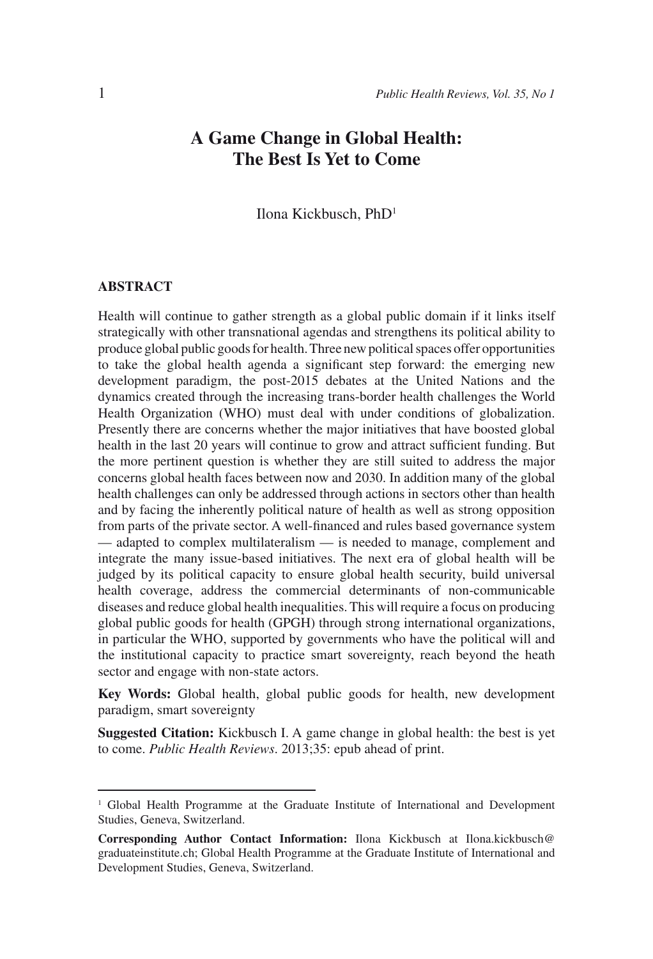# **A Game Change in Global Health: The Best Is Yet to Come**

Ilona Kickbusch, PhD1

#### **ABSTRACT**

Health will continue to gather strength as a global public domain if it links itself strategically with other transnational agendas and strengthens its political ability to produce global public goods for health. Three new political spaces offer opportunities to take the global health agenda a significant step forward: the emerging new development paradigm, the post-2015 debates at the United Nations and the dynamics created through the increasing trans-border health challenges the World Health Organization (WHO) must deal with under conditions of globalization. Presently there are concerns whether the major initiatives that have boosted global health in the last 20 years will continue to grow and attract sufficient funding. But the more pertinent question is whether they are still suited to address the major concerns global health faces between now and 2030. In addition many of the global health challenges can only be addressed through actions in sectors other than health and by facing the inherently political nature of health as well as strong opposition from parts of the private sector. A well-financed and rules based governance system — adapted to complex multilateralism — is needed to manage, complement and integrate the many issue-based initiatives. The next era of global health will be judged by its political capacity to ensure global health security, build universal health coverage, address the commercial determinants of non-communicable diseases and reduce global health inequalities. This will require a focus on producing global public goods for health (GPGH) through strong international organizations, in particular the WHO, supported by governments who have the political will and the institutional capacity to practice smart sovereignty, reach beyond the heath sector and engage with non-state actors.

**Key Words:** Global health, global public goods for health, new development paradigm, smart sovereignty

**Suggested Citation:** Kickbusch I. A game change in global health: the best is yet to come. *Public Health Reviews*. 2013;35: epub ahead of print.

<sup>1</sup> Global Health Programme at the Graduate Institute of International and Development Studies, Geneva, Switzerland.

**Corresponding Author Contact Information:** Ilona Kickbusch at Ilona.kickbusch@ graduateinstitute.ch; Global Health Programme at the Graduate Institute of International and Development Studies, Geneva, Switzerland.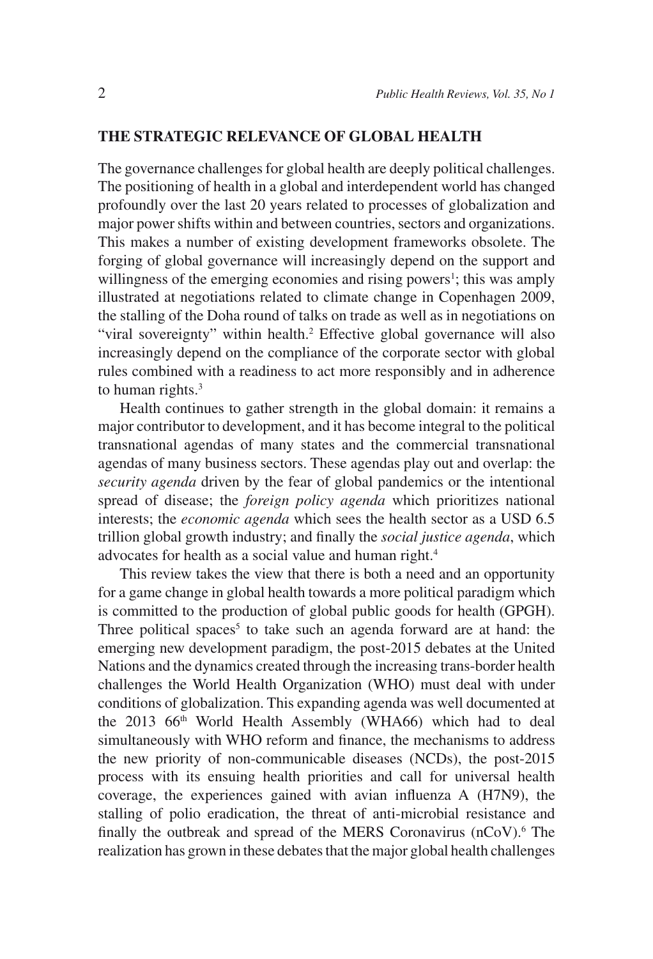### **THE STRATEGIC RELEVANCE OF GLOBAL HEALTH**

The governance challenges for global health are deeply political challenges. The positioning of health in a global and interdependent world has changed profoundly over the last 20 years related to processes of globalization and major power shifts within and between countries, sectors and organizations. This makes a number of existing development frameworks obsolete. The forging of global governance will increasingly depend on the support and willingness of the emerging economies and rising powers<sup>1</sup>; this was amply illustrated at negotiations related to climate change in Copenhagen 2009, the stalling of the Doha round of talks on trade as well as in negotiations on "viral sovereignty" within health.<sup>2</sup> Effective global governance will also increasingly depend on the compliance of the corporate sector with global rules combined with a readiness to act more responsibly and in adherence to human rights.<sup>3</sup>

Health continues to gather strength in the global domain: it remains a major contributor to development, and it has become integral to the political transnational agendas of many states and the commercial transnational agendas of many business sectors. These agendas play out and overlap: the *security agenda* driven by the fear of global pandemics or the intentional spread of disease; the *foreign policy agenda* which prioritizes national interests; the *economic agenda* which sees the health sector as a USD 6.5 trillion global growth industry; and finally the *social justice agenda*, which advocates for health as a social value and human right.<sup>4</sup>

This review takes the view that there is both a need and an opportunity for a game change in global health towards a more political paradigm which is committed to the production of global public goods for health (GPGH). Three political spaces<sup>5</sup> to take such an agenda forward are at hand: the emerging new development paradigm, the post-2015 debates at the United Nations and the dynamics created through the increasing trans-border health challenges the World Health Organization (WHO) must deal with under conditions of globalization. This expanding agenda was well documented at the 2013 66<sup>th</sup> World Health Assembly (WHA66) which had to deal simultaneously with WHO reform and finance, the mechanisms to address the new priority of non-communicable diseases (NCDs), the post-2015 process with its ensuing health priorities and call for universal health coverage, the experiences gained with avian influenza A (H7N9), the stalling of polio eradication, the threat of anti-microbial resistance and finally the outbreak and spread of the MERS Coronavirus (nCoV).<sup>6</sup> The realization has grown in these debates that the major global health challenges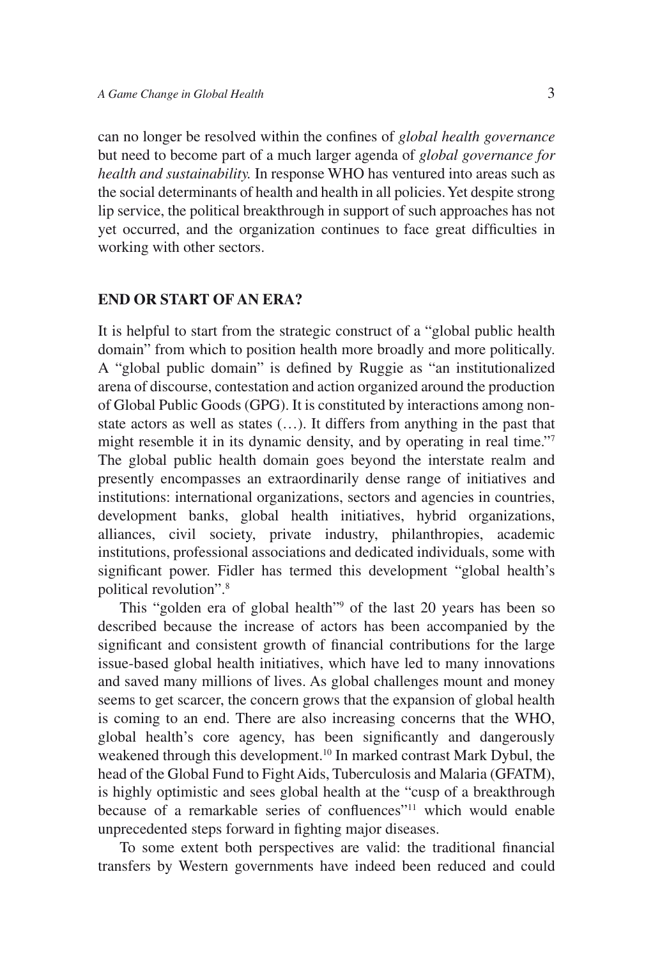can no longer be resolved within the confines of *global health governance* but need to become part of a much larger agenda of *global governance for health and sustainability.* In response WHO has ventured into areas such as the social determinants of health and health in all policies. Yet despite strong lip service, the political breakthrough in support of such approaches has not yet occurred, and the organization continues to face great difficulties in working with other sectors.

### **END OR START OF AN ERA?**

It is helpful to start from the strategic construct of a "global public health domain" from which to position health more broadly and more politically. A "global public domain" is defined by Ruggie as "an institutionalized arena of discourse, contestation and action organized around the production of Global Public Goods (GPG). It is constituted by interactions among nonstate actors as well as states (…). It differs from anything in the past that might resemble it in its dynamic density, and by operating in real time."7 The global public health domain goes beyond the interstate realm and presently encompasses an extraordinarily dense range of initiatives and institutions: international organizations, sectors and agencies in countries, development banks, global health initiatives, hybrid organizations, alliances, civil society, private industry, philanthropies, academic institutions, professional associations and dedicated individuals, some with significant power. Fidler has termed this development "global health's political revolution".8

This "golden era of global health"<sup>9</sup> of the last 20 years has been so described because the increase of actors has been accompanied by the significant and consistent growth of financial contributions for the large issue-based global health initiatives, which have led to many innovations and saved many millions of lives. As global challenges mount and money seems to get scarcer, the concern grows that the expansion of global health is coming to an end. There are also increasing concerns that the WHO, global health's core agency, has been significantly and dangerously weakened through this development.<sup>10</sup> In marked contrast Mark Dybul, the head of the Global Fund to Fight Aids, Tuberculosis and Malaria (GFATM), is highly optimistic and sees global health at the "cusp of a breakthrough because of a remarkable series of confluences"<sup>11</sup> which would enable unprecedented steps forward in fighting major diseases.

To some extent both perspectives are valid: the traditional financial transfers by Western governments have indeed been reduced and could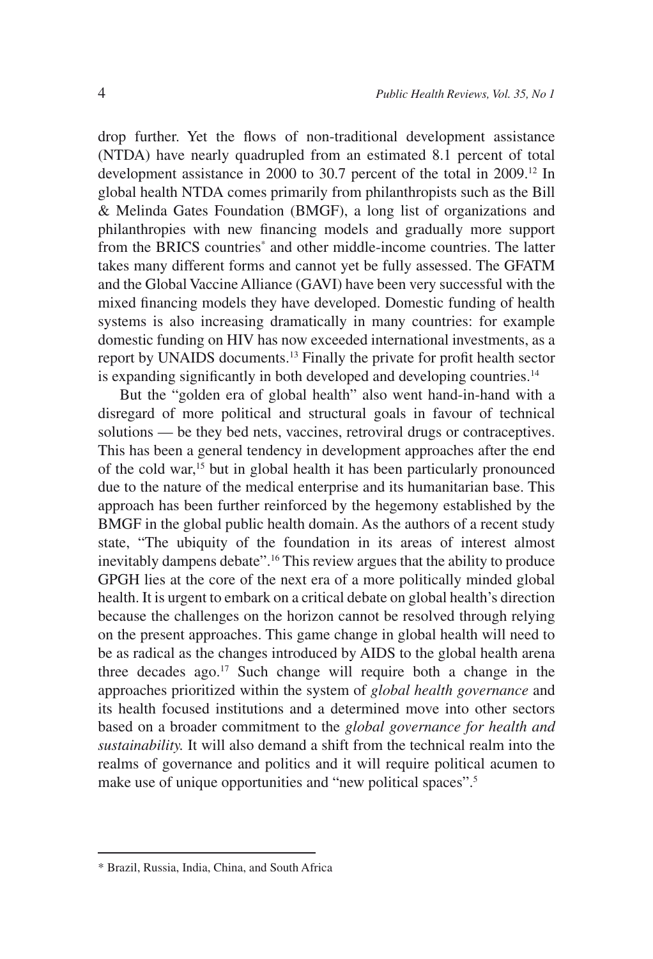drop further. Yet the flows of non-traditional development assistance (NTDA) have nearly quadrupled from an estimated 8.1 percent of total development assistance in 2000 to 30.7 percent of the total in 2009.<sup>12</sup> In global health NTDA comes primarily from philanthropists such as the Bill & Melinda Gates Foundation (BMGF), a long list of organizations and philanthropies with new financing models and gradually more support from the BRICS countries\* and other middle-income countries. The latter takes many different forms and cannot yet be fully assessed. The GFATM and the Global Vaccine Alliance (GAVI) have been very successful with the mixed financing models they have developed. Domestic funding of health systems is also increasing dramatically in many countries: for example domestic funding on HIV has now exceeded international investments, as a report by UNAIDS documents.13 Finally the private for profit health sector is expanding significantly in both developed and developing countries.<sup>14</sup>

But the "golden era of global health" also went hand-in-hand with a disregard of more political and structural goals in favour of technical solutions — be they bed nets, vaccines, retroviral drugs or contraceptives. This has been a general tendency in development approaches after the end of the cold war,15 but in global health it has been particularly pronounced due to the nature of the medical enterprise and its humanitarian base. This approach has been further reinforced by the hegemony established by the BMGF in the global public health domain. As the authors of a recent study state, "The ubiquity of the foundation in its areas of interest almost inevitably dampens debate".16 This review argues that the ability to produce GPGH lies at the core of the next era of a more politically minded global health. It is urgent to embark on a critical debate on global health's direction because the challenges on the horizon cannot be resolved through relying on the present approaches. This game change in global health will need to be as radical as the changes introduced by AIDS to the global health arena three decades ago. $17$  Such change will require both a change in the approaches prioritized within the system of *global health governance* and its health focused institutions and a determined move into other sectors based on a broader commitment to the *global governance for health and sustainability.* It will also demand a shift from the technical realm into the realms of governance and politics and it will require political acumen to make use of unique opportunities and "new political spaces".<sup>5</sup>

<sup>\*</sup> Brazil, Russia, India, China, and South Africa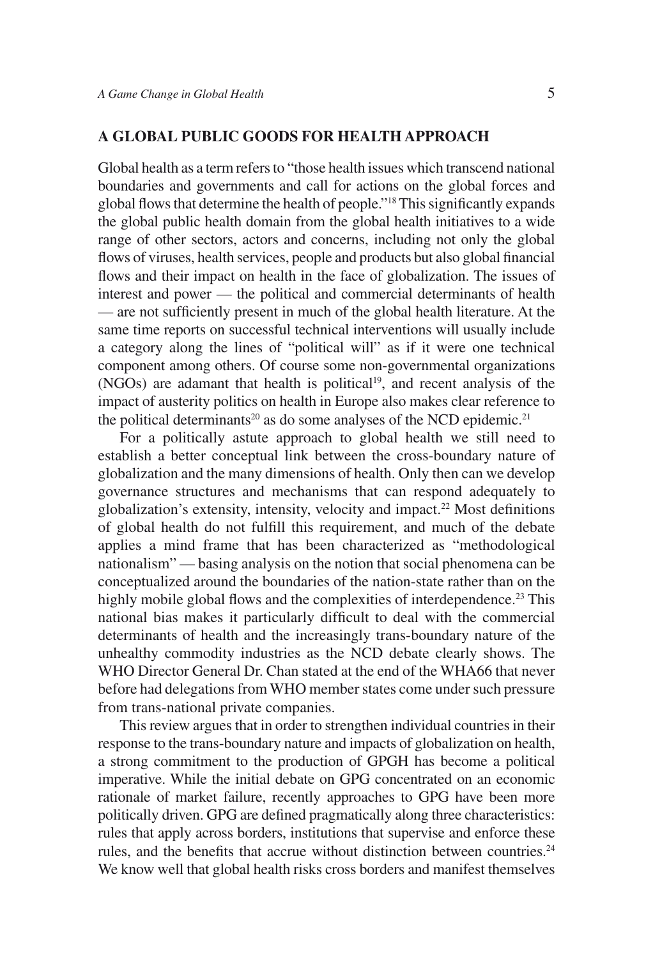#### **A GLOBAL PUBLIC GOODS FOR HEALTH APPROACH**

Global health as a term refers to "those health issues which transcend national boundaries and governments and call for actions on the global forces and global flows that determine the health of people."18 This significantly expands the global public health domain from the global health initiatives to a wide range of other sectors, actors and concerns, including not only the global flows of viruses, health services, people and products but also global financial flows and their impact on health in the face of globalization. The issues of interest and power — the political and commercial determinants of health — are not sufficiently present in much of the global health literature. At the same time reports on successful technical interventions will usually include a category along the lines of "political will" as if it were one technical component among others. Of course some non-governmental organizations (NGOs) are adamant that health is political<sup>19</sup>, and recent analysis of the impact of austerity politics on health in Europe also makes clear reference to the political determinants<sup>20</sup> as do some analyses of the NCD epidemic.<sup>21</sup>

For a politically astute approach to global health we still need to establish a better conceptual link between the cross-boundary nature of globalization and the many dimensions of health. Only then can we develop governance structures and mechanisms that can respond adequately to globalization's extensity, intensity, velocity and impact.<sup>22</sup> Most definitions of global health do not fulfill this requirement, and much of the debate applies a mind frame that has been characterized as "methodological nationalism" — basing analysis on the notion that social phenomena can be conceptualized around the boundaries of the nation-state rather than on the highly mobile global flows and the complexities of interdependence.<sup>23</sup> This national bias makes it particularly difficult to deal with the commercial determinants of health and the increasingly trans-boundary nature of the unhealthy commodity industries as the NCD debate clearly shows. The WHO Director General Dr. Chan stated at the end of the WHA66 that never before had delegations from WHO member states come under such pressure from trans-national private companies.

This review argues that in order to strengthen individual countries in their response to the trans-boundary nature and impacts of globalization on health, a strong commitment to the production of GPGH has become a political imperative. While the initial debate on GPG concentrated on an economic rationale of market failure, recently approaches to GPG have been more politically driven. GPG are defined pragmatically along three characteristics: rules that apply across borders, institutions that supervise and enforce these rules, and the benefits that accrue without distinction between countries.<sup>24</sup> We know well that global health risks cross borders and manifest themselves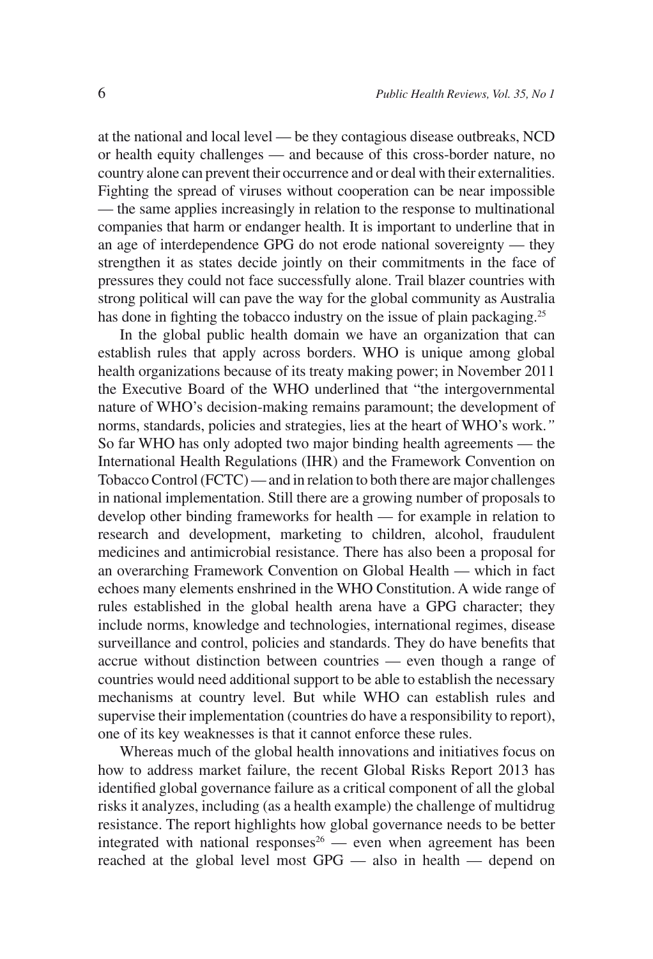at the national and local level — be they contagious disease outbreaks, NCD or health equity challenges — and because of this cross-border nature, no country alone can prevent their occurrence and or deal with their externalities. Fighting the spread of viruses without cooperation can be near impossible — the same applies increasingly in relation to the response to multinational companies that harm or endanger health. It is important to underline that in an age of interdependence GPG do not erode national sovereignty — they strengthen it as states decide jointly on their commitments in the face of pressures they could not face successfully alone. Trail blazer countries with strong political will can pave the way for the global community as Australia has done in fighting the tobacco industry on the issue of plain packaging.<sup>25</sup>

In the global public health domain we have an organization that can establish rules that apply across borders. WHO is unique among global health organizations because of its treaty making power; in November 2011 the Executive Board of the WHO underlined that "the intergovernmental nature of WHO's decision-making remains paramount; the development of norms, standards, policies and strategies, lies at the heart of WHO's work.*"*  So far WHO has only adopted two major binding health agreements — the International Health Regulations (IHR) and the Framework Convention on Tobacco Control (FCTC) — and in relation to both there are major challenges in national implementation. Still there are a growing number of proposals to develop other binding frameworks for health — for example in relation to research and development, marketing to children, alcohol, fraudulent medicines and antimicrobial resistance. There has also been a proposal for an overarching Framework Convention on Global Health — which in fact echoes many elements enshrined in the WHO Constitution. A wide range of rules established in the global health arena have a GPG character; they include norms, knowledge and technologies, international regimes, disease surveillance and control, policies and standards. They do have benefits that accrue without distinction between countries — even though a range of countries would need additional support to be able to establish the necessary mechanisms at country level. But while WHO can establish rules and supervise their implementation (countries do have a responsibility to report), one of its key weaknesses is that it cannot enforce these rules.

Whereas much of the global health innovations and initiatives focus on how to address market failure, the recent Global Risks Report 2013 has identified global governance failure as a critical component of all the global risks it analyzes, including (as a health example) the challenge of multidrug resistance. The report highlights how global governance needs to be better integrated with national responses<sup>26</sup> — even when agreement has been reached at the global level most GPG — also in health — depend on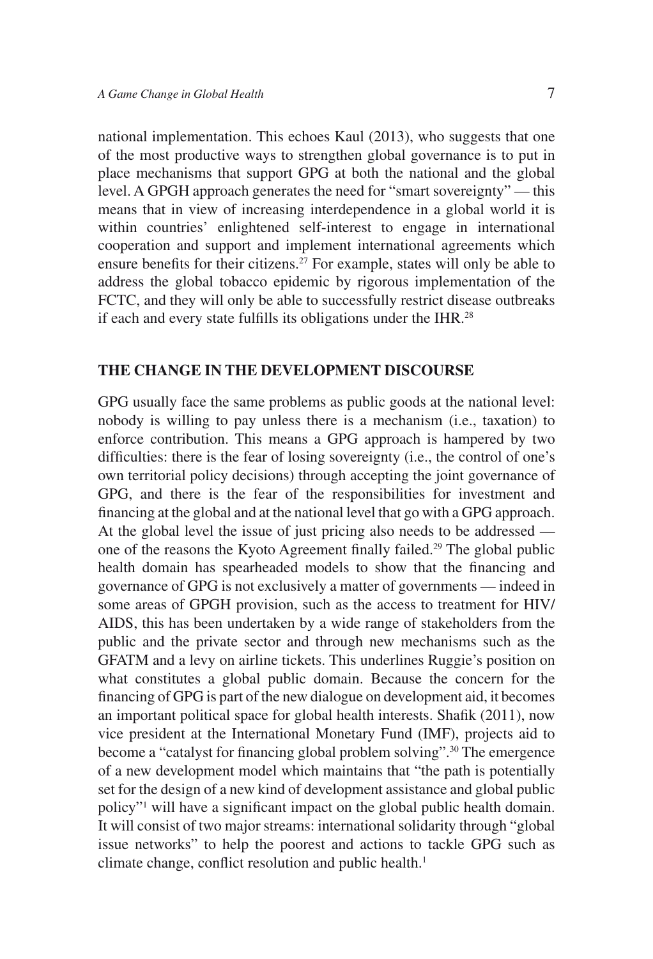national implementation. This echoes Kaul (2013), who suggests that one of the most productive ways to strengthen global governance is to put in place mechanisms that support GPG at both the national and the global level. A GPGH approach generates the need for "smart sovereignty" — this means that in view of increasing interdependence in a global world it is within countries' enlightened self-interest to engage in international cooperation and support and implement international agreements which ensure benefits for their citizens.<sup>27</sup> For example, states will only be able to address the global tobacco epidemic by rigorous implementation of the FCTC, and they will only be able to successfully restrict disease outbreaks if each and every state fulfills its obligations under the IHR.<sup>28</sup>

### **THE CHANGE IN THE DEVELOPMENT DISCOURSE**

GPG usually face the same problems as public goods at the national level: nobody is willing to pay unless there is a mechanism (i.e., taxation) to enforce contribution. This means a GPG approach is hampered by two difficulties: there is the fear of losing sovereignty (i.e., the control of one's own territorial policy decisions) through accepting the joint governance of GPG, and there is the fear of the responsibilities for investment and financing at the global and at the national level that go with a GPG approach. At the global level the issue of just pricing also needs to be addressed one of the reasons the Kyoto Agreement finally failed.29 The global public health domain has spearheaded models to show that the financing and governance of GPG is not exclusively a matter of governments — indeed in some areas of GPGH provision, such as the access to treatment for HIV/ AIDS, this has been undertaken by a wide range of stakeholders from the public and the private sector and through new mechanisms such as the GFATM and a levy on airline tickets. This underlines Ruggie's position on what constitutes a global public domain. Because the concern for the financing of GPG is part of the new dialogue on development aid, it becomes an important political space for global health interests. Shafik (2011), now vice president at the International Monetary Fund (IMF), projects aid to become a "catalyst for financing global problem solving".<sup>30</sup> The emergence of a new development model which maintains that "the path is potentially set for the design of a new kind of development assistance and global public policy"1 will have a significant impact on the global public health domain. It will consist of two major streams: international solidarity through "global issue networks" to help the poorest and actions to tackle GPG such as climate change, conflict resolution and public health.<sup>1</sup>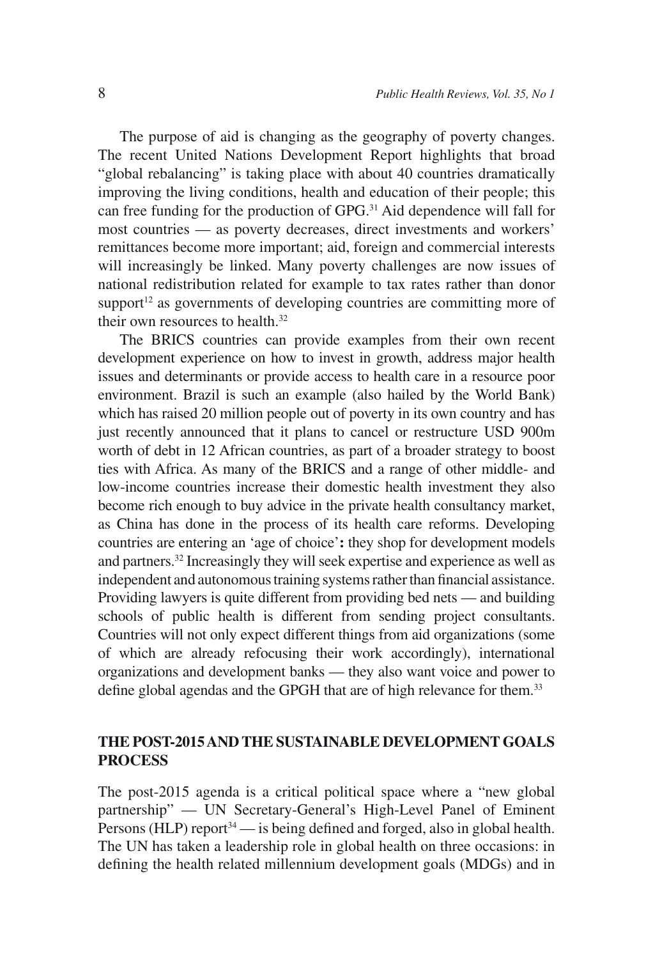The purpose of aid is changing as the geography of poverty changes. The recent United Nations Development Report highlights that broad "global rebalancing" is taking place with about 40 countries dramatically improving the living conditions, health and education of their people; this can free funding for the production of GPG.31 Aid dependence will fall for most countries — as poverty decreases, direct investments and workers' remittances become more important; aid, foreign and commercial interests will increasingly be linked. Many poverty challenges are now issues of national redistribution related for example to tax rates rather than donor support $12$  as governments of developing countries are committing more of their own resources to health.<sup>32</sup>

The BRICS countries can provide examples from their own recent development experience on how to invest in growth, address major health issues and determinants or provide access to health care in a resource poor environment. Brazil is such an example (also hailed by the World Bank) which has raised 20 million people out of poverty in its own country and has just recently announced that it plans to cancel or restructure USD 900m worth of debt in 12 African countries, as part of a broader strategy to boost ties with Africa. As many of the BRICS and a range of other middle- and low-income countries increase their domestic health investment they also become rich enough to buy advice in the private health consultancy market, as China has done in the process of its health care reforms. Developing countries are entering an 'age of choice'**:** they shop for development models and partners.32 Increasingly they will seek expertise and experience as well as independent and autonomous training systems rather than financial assistance. Providing lawyers is quite different from providing bed nets — and building schools of public health is different from sending project consultants. Countries will not only expect different things from aid organizations (some of which are already refocusing their work accordingly), international organizations and development banks — they also want voice and power to define global agendas and the GPGH that are of high relevance for them.<sup>33</sup>

### **THE POST-2015 AND THE SUSTAINABLE DEVELOPMENT GOALS PROCESS**

The post-2015 agenda is a critical political space where a "new global partnership" — UN Secretary-General's High-Level Panel of Eminent Persons (HLP) report<sup>34</sup> — is being defined and forged, also in global health. The UN has taken a leadership role in global health on three occasions: in defining the health related millennium development goals (MDGs) and in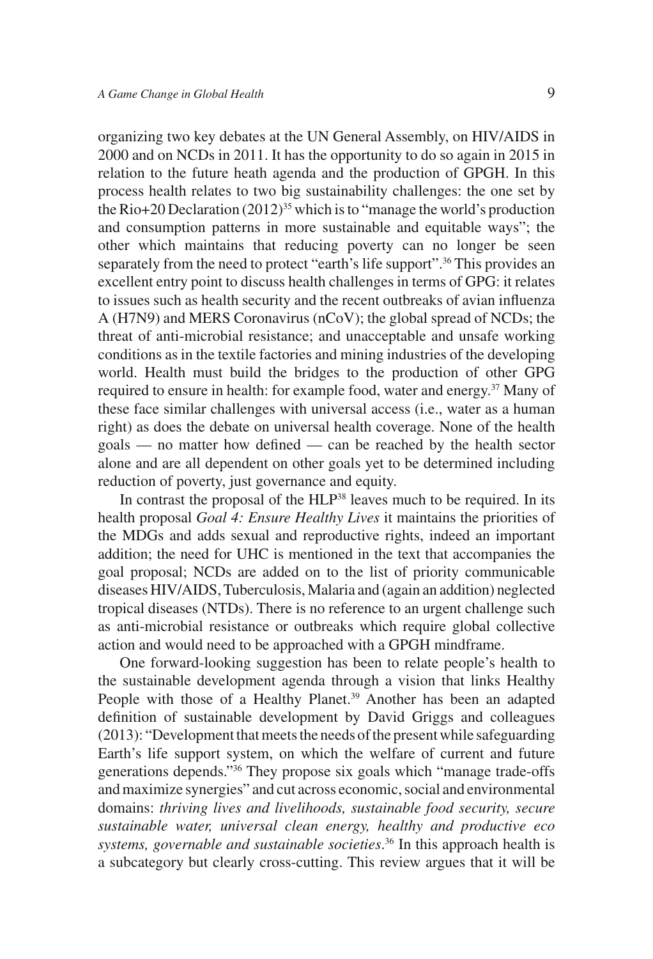organizing two key debates at the UN General Assembly, on HIV/AIDS in 2000 and on NCDs in 2011. It has the opportunity to do so again in 2015 in relation to the future heath agenda and the production of GPGH. In this process health relates to two big sustainability challenges: the one set by the Rio+20 Declaration  $(2012)^{35}$  which is to "manage the world's production and consumption patterns in more sustainable and equitable ways"; the other which maintains that reducing poverty can no longer be seen separately from the need to protect "earth's life support".<sup>36</sup> This provides an excellent entry point to discuss health challenges in terms of GPG: it relates to issues such as health security and the recent outbreaks of avian influenza A (H7N9) and MERS Coronavirus (nCoV); the global spread of NCDs; the threat of anti-microbial resistance; and unacceptable and unsafe working conditions as in the textile factories and mining industries of the developing world. Health must build the bridges to the production of other GPG required to ensure in health: for example food, water and energy.<sup>37</sup> Many of these face similar challenges with universal access (i.e., water as a human right) as does the debate on universal health coverage. None of the health goals — no matter how defined — can be reached by the health sector alone and are all dependent on other goals yet to be determined including reduction of poverty, just governance and equity.

In contrast the proposal of the HLP<sup>38</sup> leaves much to be required. In its health proposal *Goal 4: Ensure Healthy Lives* it maintains the priorities of the MDGs and adds sexual and reproductive rights, indeed an important addition; the need for UHC is mentioned in the text that accompanies the goal proposal; NCDs are added on to the list of priority communicable diseases HIV/AIDS, Tuberculosis, Malaria and (again an addition) neglected tropical diseases (NTDs). There is no reference to an urgent challenge such as anti-microbial resistance or outbreaks which require global collective action and would need to be approached with a GPGH mindframe.

One forward-looking suggestion has been to relate people's health to the sustainable development agenda through a vision that links Healthy People with those of a Healthy Planet.<sup>39</sup> Another has been an adapted definition of sustainable development by David Griggs and colleagues (2013): "Development that meets the needs of the present while safeguarding Earth's life support system, on which the welfare of current and future generations depends."36 They propose six goals which "manage trade-offs and maximize synergies" and cut across economic, social and environmental domains: *thriving lives and livelihoods, sustainable food security, secure sustainable water, universal clean energy, healthy and productive eco systems, governable and sustainable societies*. 36 In this approach health is a subcategory but clearly cross-cutting. This review argues that it will be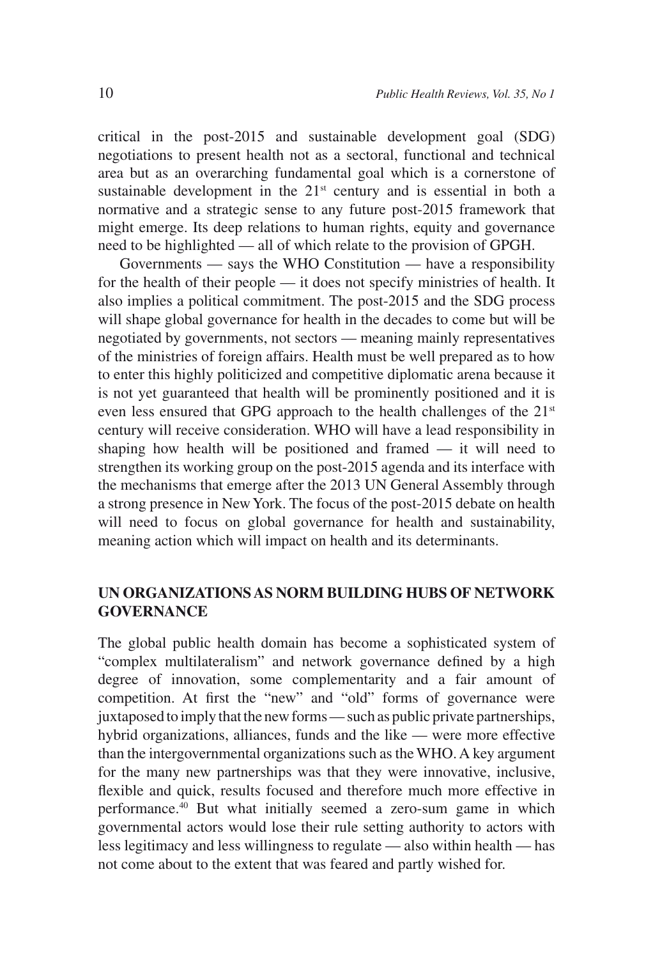critical in the post-2015 and sustainable development goal (SDG) negotiations to present health not as a sectoral, functional and technical area but as an overarching fundamental goal which is a cornerstone of sustainable development in the  $21<sup>st</sup>$  century and is essential in both a normative and a strategic sense to any future post-2015 framework that might emerge. Its deep relations to human rights, equity and governance need to be highlighted — all of which relate to the provision of GPGH.

Governments — says the WHO Constitution — have a responsibility for the health of their people — it does not specify ministries of health. It also implies a political commitment. The post-2015 and the SDG process will shape global governance for health in the decades to come but will be negotiated by governments, not sectors — meaning mainly representatives of the ministries of foreign affairs. Health must be well prepared as to how to enter this highly politicized and competitive diplomatic arena because it is not yet guaranteed that health will be prominently positioned and it is even less ensured that GPG approach to the health challenges of the 21<sup>st</sup> century will receive consideration. WHO will have a lead responsibility in shaping how health will be positioned and framed — it will need to strengthen its working group on the post-2015 agenda and its interface with the mechanisms that emerge after the 2013 UN General Assembly through a strong presence in New York. The focus of the post-2015 debate on health will need to focus on global governance for health and sustainability, meaning action which will impact on health and its determinants.

## **UN ORGANIZATIONS AS NORM BUILDING HUBS OF NETWORK GOVERNANCE**

The global public health domain has become a sophisticated system of "complex multilateralism" and network governance defined by a high degree of innovation, some complementarity and a fair amount of competition. At first the "new" and "old" forms of governance were juxtaposed to imply that the new forms — such as public private partnerships, hybrid organizations, alliances, funds and the like — were more effective than the intergovernmental organizations such as the WHO. A key argument for the many new partnerships was that they were innovative, inclusive, flexible and quick, results focused and therefore much more effective in performance.40 But what initially seemed a zero-sum game in which governmental actors would lose their rule setting authority to actors with less legitimacy and less willingness to regulate — also within health — has not come about to the extent that was feared and partly wished for.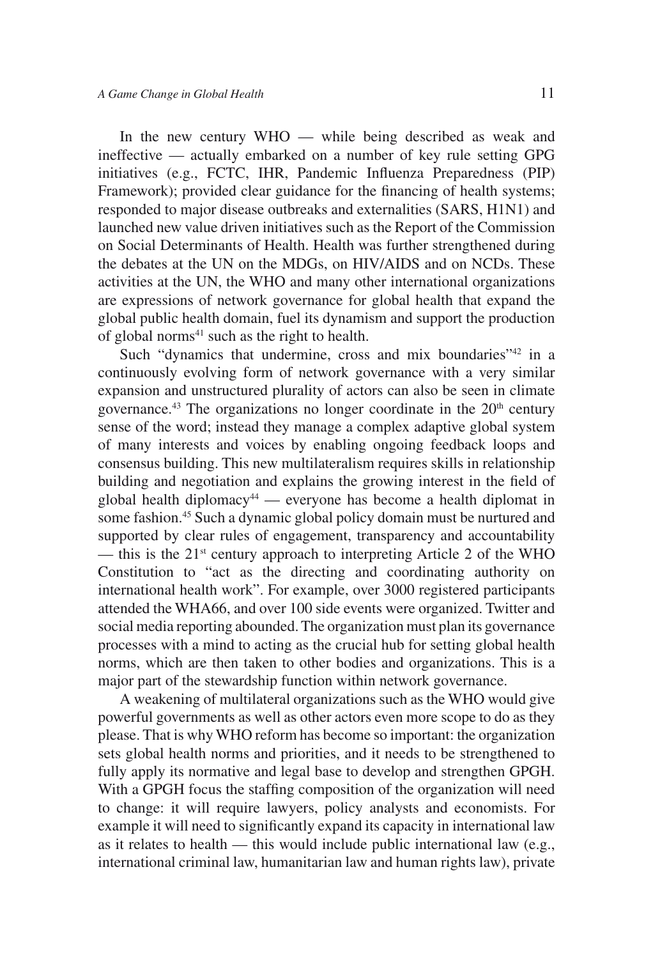In the new century WHO — while being described as weak and ineffective — actually embarked on a number of key rule setting GPG initiatives (e.g., FCTC, IHR, Pandemic Influenza Preparedness (PIP) Framework); provided clear guidance for the financing of health systems; responded to major disease outbreaks and externalities (SARS, H1N1) and launched new value driven initiatives such as the Report of the Commission on Social Determinants of Health. Health was further strengthened during the debates at the UN on the MDGs, on HIV/AIDS and on NCDs. These activities at the UN, the WHO and many other international organizations are expressions of network governance for global health that expand the global public health domain, fuel its dynamism and support the production of global norms $41$  such as the right to health.

Such "dynamics that undermine, cross and mix boundaries"<sup>42</sup> in a continuously evolving form of network governance with a very similar expansion and unstructured plurality of actors can also be seen in climate governance.<sup>43</sup> The organizations no longer coordinate in the  $20<sup>th</sup>$  century sense of the word; instead they manage a complex adaptive global system of many interests and voices by enabling ongoing feedback loops and consensus building. This new multilateralism requires skills in relationship building and negotiation and explains the growing interest in the field of global health diplomacy<sup>44</sup> — everyone has become a health diplomat in some fashion.<sup>45</sup> Such a dynamic global policy domain must be nurtured and supported by clear rules of engagement, transparency and accountability — this is the  $21<sup>st</sup>$  century approach to interpreting Article 2 of the WHO Constitution to "act as the directing and coordinating authority on international health work". For example, over 3000 registered participants attended the WHA66, and over 100 side events were organized. Twitter and social media reporting abounded. The organization must plan its governance processes with a mind to acting as the crucial hub for setting global health norms, which are then taken to other bodies and organizations. This is a major part of the stewardship function within network governance.

A weakening of multilateral organizations such as the WHO would give powerful governments as well as other actors even more scope to do as they please. That is why WHO reform has become so important: the organization sets global health norms and priorities, and it needs to be strengthened to fully apply its normative and legal base to develop and strengthen GPGH. With a GPGH focus the staffing composition of the organization will need to change: it will require lawyers, policy analysts and economists. For example it will need to significantly expand its capacity in international law as it relates to health — this would include public international law (e.g., international criminal law, humanitarian law and human rights law), private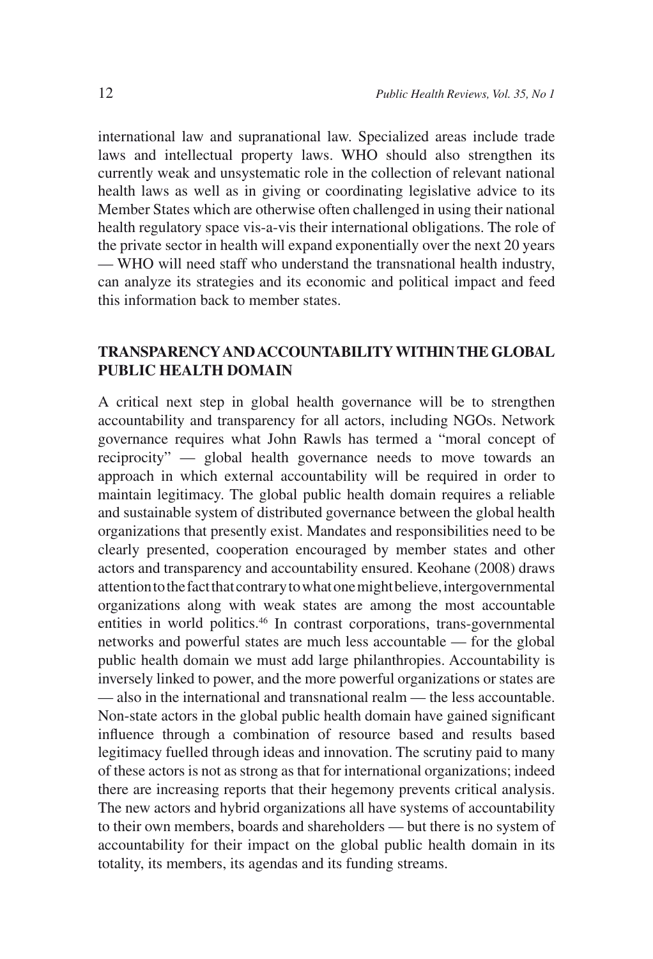international law and supranational law. Specialized areas include trade laws and intellectual property laws. WHO should also strengthen its currently weak and unsystematic role in the collection of relevant national health laws as well as in giving or coordinating legislative advice to its Member States which are otherwise often challenged in using their national health regulatory space vis-a-vis their international obligations. The role of the private sector in health will expand exponentially over the next 20 years — WHO will need staff who understand the transnational health industry, can analyze its strategies and its economic and political impact and feed this information back to member states.

### **TRANSPARENCY AND ACCOUNTABILITY WITHIN THE GLOBAL PUBLIC HEALTH DOMAIN**

A critical next step in global health governance will be to strengthen accountability and transparency for all actors, including NGOs. Network governance requires what John Rawls has termed a "moral concept of reciprocity" — global health governance needs to move towards an approach in which external accountability will be required in order to maintain legitimacy. The global public health domain requires a reliable and sustainable system of distributed governance between the global health organizations that presently exist. Mandates and responsibilities need to be clearly presented, cooperation encouraged by member states and other actors and transparency and accountability ensured. Keohane (2008) draws attention to the fact that contrary to what one might believe, intergovernmental organizations along with weak states are among the most accountable entities in world politics.46 In contrast corporations, trans-governmental networks and powerful states are much less accountable — for the global public health domain we must add large philanthropies. Accountability is inversely linked to power, and the more powerful organizations or states are — also in the international and transnational realm — the less accountable. Non-state actors in the global public health domain have gained significant influence through a combination of resource based and results based legitimacy fuelled through ideas and innovation. The scrutiny paid to many of these actors is not as strong as that for international organizations; indeed there are increasing reports that their hegemony prevents critical analysis. The new actors and hybrid organizations all have systems of accountability to their own members, boards and shareholders — but there is no system of accountability for their impact on the global public health domain in its totality, its members, its agendas and its funding streams.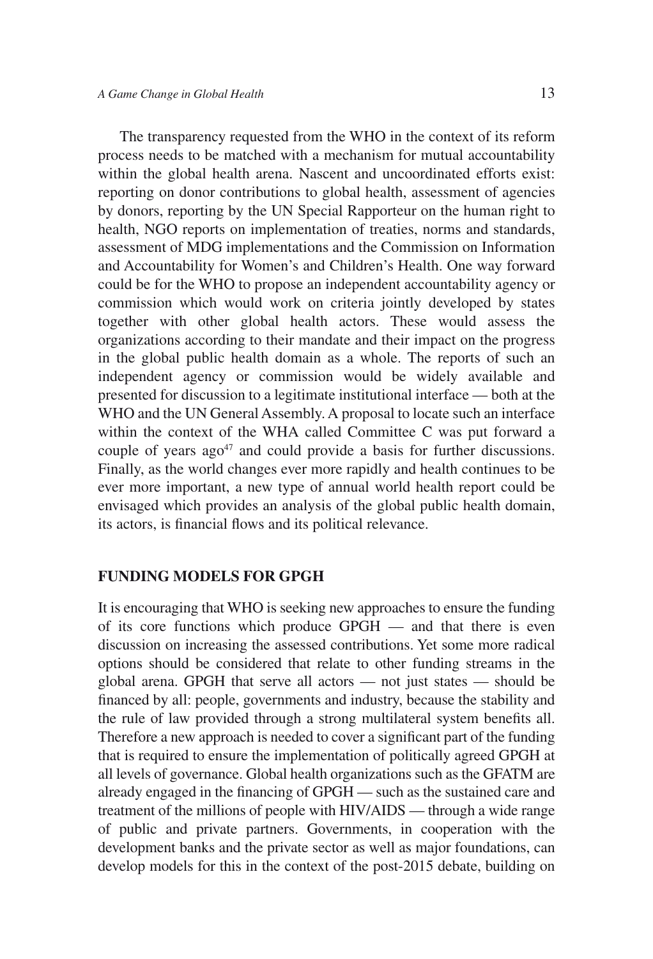The transparency requested from the WHO in the context of its reform process needs to be matched with a mechanism for mutual accountability within the global health arena. Nascent and uncoordinated efforts exist: reporting on donor contributions to global health, assessment of agencies by donors, reporting by the UN Special Rapporteur on the human right to health, NGO reports on implementation of treaties, norms and standards, assessment of MDG implementations and the Commission on Information and Accountability for Women's and Children's Health. One way forward could be for the WHO to propose an independent accountability agency or commission which would work on criteria jointly developed by states together with other global health actors. These would assess the organizations according to their mandate and their impact on the progress in the global public health domain as a whole. The reports of such an independent agency or commission would be widely available and presented for discussion to a legitimate institutional interface — both at the WHO and the UN General Assembly. A proposal to locate such an interface within the context of the WHA called Committee C was put forward a couple of years  $ago^{47}$  and could provide a basis for further discussions. Finally, as the world changes ever more rapidly and health continues to be ever more important, a new type of annual world health report could be envisaged which provides an analysis of the global public health domain, its actors, is financial flows and its political relevance.

#### **FUNDING MODELS FOR GPGH**

It is encouraging that WHO is seeking new approaches to ensure the funding of its core functions which produce GPGH — and that there is even discussion on increasing the assessed contributions. Yet some more radical options should be considered that relate to other funding streams in the global arena. GPGH that serve all actors — not just states — should be financed by all: people, governments and industry, because the stability and the rule of law provided through a strong multilateral system benefits all. Therefore a new approach is needed to cover a significant part of the funding that is required to ensure the implementation of politically agreed GPGH at all levels of governance. Global health organizations such as the GFATM are already engaged in the financing of GPGH — such as the sustained care and treatment of the millions of people with HIV/AIDS — through a wide range of public and private partners. Governments, in cooperation with the development banks and the private sector as well as major foundations, can develop models for this in the context of the post-2015 debate, building on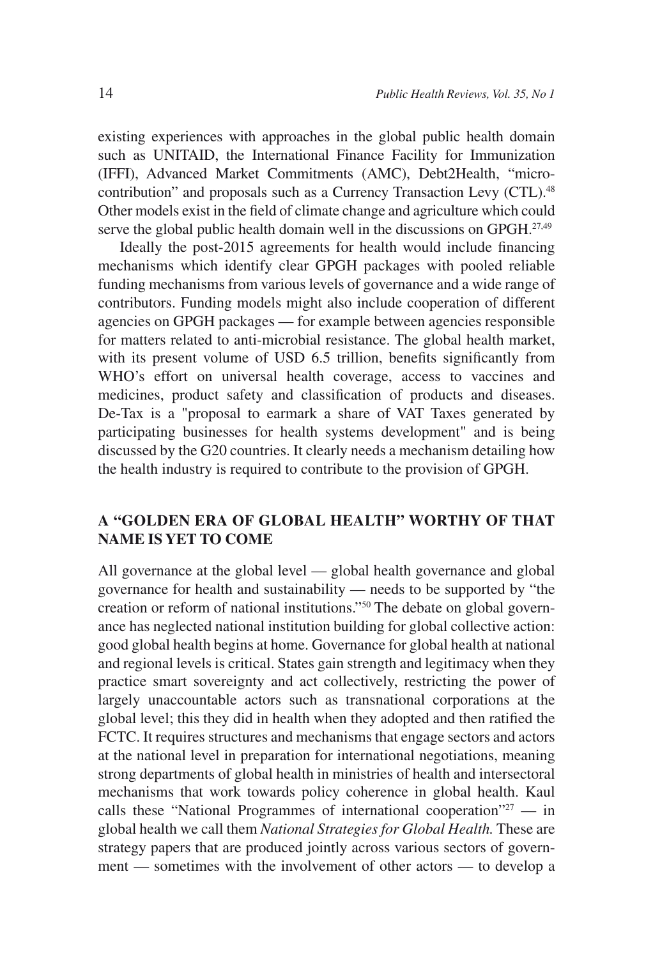existing experiences with approaches in the global public health domain such as UNITAID, the International Finance Facility for Immunization (IFFI), Advanced Market Commitments (AMC), Debt2Health, "microcontribution" and proposals such as a Currency Transaction Levy (CTL).<sup>48</sup> Other models exist in the field of climate change and agriculture which could serve the global public health domain well in the discussions on GPGH.<sup>27,49</sup>

Ideally the post-2015 agreements for health would include financing mechanisms which identify clear GPGH packages with pooled reliable funding mechanisms from various levels of governance and a wide range of contributors. Funding models might also include cooperation of different agencies on GPGH packages — for example between agencies responsible for matters related to anti-microbial resistance. The global health market, with its present volume of USD 6.5 trillion, benefits significantly from WHO's effort on universal health coverage, access to vaccines and medicines, product safety and classification of products and diseases. De-Tax is a "proposal to earmark a share of VAT Taxes generated by participating businesses for health systems development" and is being discussed by the G20 countries. It clearly needs a mechanism detailing how the health industry is required to contribute to the provision of GPGH.

# **A "GOLDEN ERA OF GLOBAL HEALTH" WORTHY OF THAT NAME IS YET TO COME**

All governance at the global level — global health governance and global governance for health and sustainability — needs to be supported by "the creation or reform of national institutions."50 The debate on global governance has neglected national institution building for global collective action: good global health begins at home. Governance for global health at national and regional levels is critical. States gain strength and legitimacy when they practice smart sovereignty and act collectively, restricting the power of largely unaccountable actors such as transnational corporations at the global level; this they did in health when they adopted and then ratified the FCTC. It requires structures and mechanisms that engage sectors and actors at the national level in preparation for international negotiations, meaning strong departments of global health in ministries of health and intersectoral mechanisms that work towards policy coherence in global health. Kaul calls these "National Programmes of international cooperation"<sup>27</sup> — in global health we call them *National Strategies for Global Health.* These are strategy papers that are produced jointly across various sectors of government — sometimes with the involvement of other actors — to develop a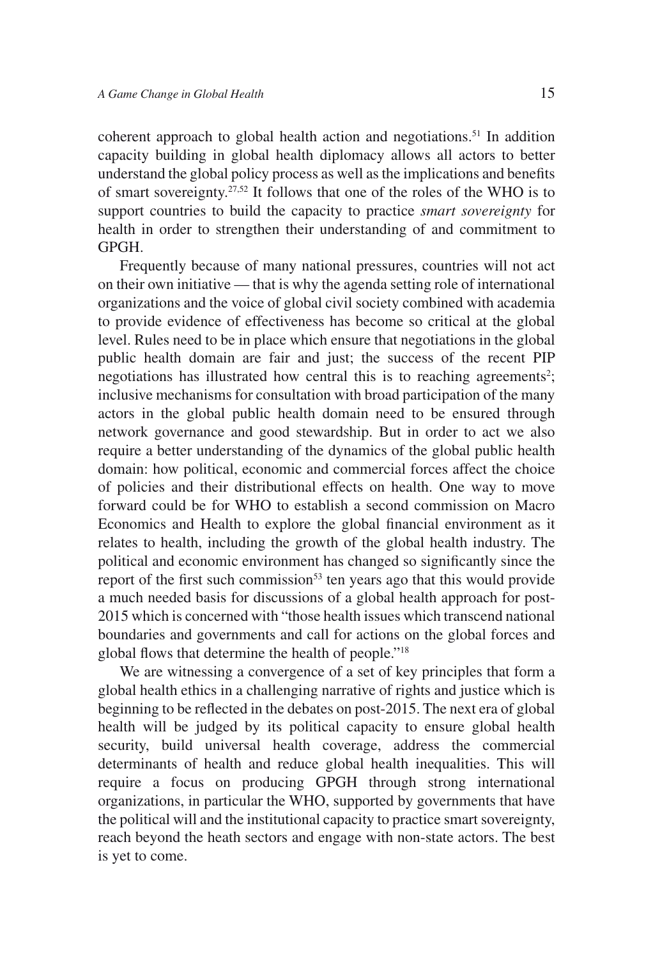coherent approach to global health action and negotiations.51 In addition capacity building in global health diplomacy allows all actors to better understand the global policy process as well as the implications and benefits of smart sovereignty.27,52 It follows that one of the roles of the WHO is to support countries to build the capacity to practice *smart sovereignty* for health in order to strengthen their understanding of and commitment to GPGH.

Frequently because of many national pressures, countries will not act on their own initiative — that is why the agenda setting role of international organizations and the voice of global civil society combined with academia to provide evidence of effectiveness has become so critical at the global level. Rules need to be in place which ensure that negotiations in the global public health domain are fair and just; the success of the recent PIP negotiations has illustrated how central this is to reaching agreements<sup>2</sup>; inclusive mechanisms for consultation with broad participation of the many actors in the global public health domain need to be ensured through network governance and good stewardship. But in order to act we also require a better understanding of the dynamics of the global public health domain: how political, economic and commercial forces affect the choice of policies and their distributional effects on health. One way to move forward could be for WHO to establish a second commission on Macro Economics and Health to explore the global financial environment as it relates to health, including the growth of the global health industry. The political and economic environment has changed so significantly since the report of the first such commission<sup>53</sup> ten years ago that this would provide a much needed basis for discussions of a global health approach for post-2015 which is concerned with "those health issues which transcend national boundaries and governments and call for actions on the global forces and global flows that determine the health of people."18

We are witnessing a convergence of a set of key principles that form a global health ethics in a challenging narrative of rights and justice which is beginning to be reflected in the debates on post-2015. The next era of global health will be judged by its political capacity to ensure global health security, build universal health coverage, address the commercial determinants of health and reduce global health inequalities. This will require a focus on producing GPGH through strong international organizations, in particular the WHO, supported by governments that have the political will and the institutional capacity to practice smart sovereignty, reach beyond the heath sectors and engage with non-state actors. The best is yet to come.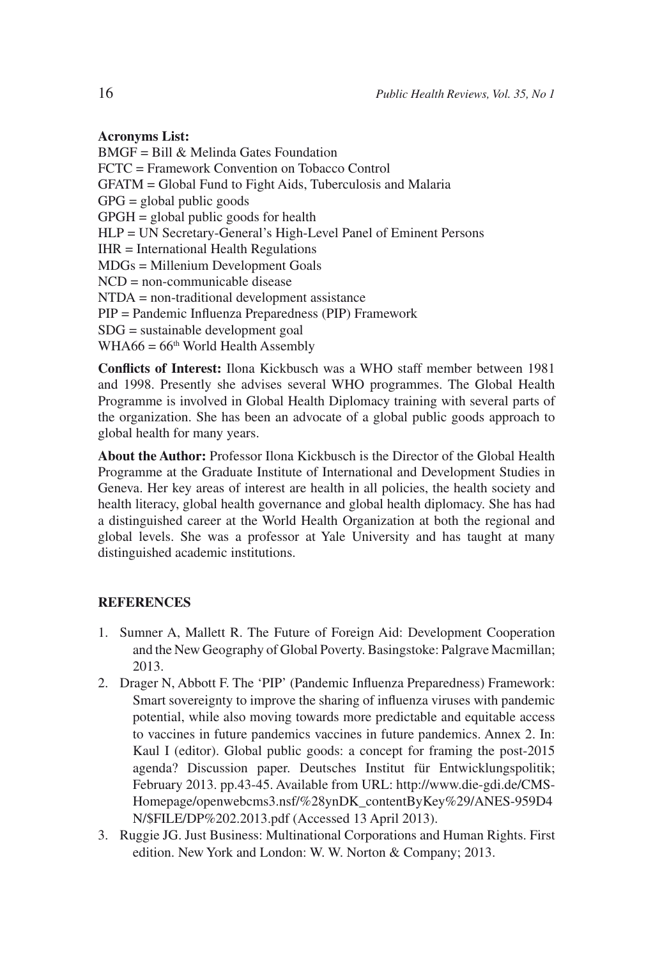#### **Acronyms List:**

 $BMGF = Bill & Melinda Gates Foundation$ FCTC = Framework Convention on Tobacco Control GFATM = Global Fund to Fight Aids, Tuberculosis and Malaria  $GPG = global public goods$  $G P G H =$  global public goods for health HLP = UN Secretary-General's High-Level Panel of Eminent Persons IHR = International Health Regulations MDGs = Millenium Development Goals NCD = non-communicable disease NTDA = non-traditional development assistance PIP = Pandemic Influenza Preparedness (PIP) Framework SDG = sustainable development goal WHA66 =  $66<sup>th</sup>$  World Health Assembly

**Conflicts of Interest:** Ilona Kickbusch was a WHO staff member between 1981 and 1998. Presently she advises several WHO programmes. The Global Health Programme is involved in Global Health Diplomacy training with several parts of the organization. She has been an advocate of a global public goods approach to global health for many years.

**About the Author:** Professor Ilona Kickbusch is the Director of the Global Health Programme at the Graduate Institute of International and Development Studies in Geneva. Her key areas of interest are health in all policies, the health society and health literacy, global health governance and global health diplomacy. She has had a distinguished career at the World Health Organization at both the regional and global levels. She was a professor at Yale University and has taught at many distinguished academic institutions.

#### **REFERENCES**

- 1. Sumner A, Mallett R. The Future of Foreign Aid: Development Cooperation and the New Geography of Global Poverty. Basingstoke: Palgrave Macmillan; 2013.
- 2. Drager N, Abbott F. The 'PIP' (Pandemic Influenza Preparedness) Framework: Smart sovereignty to improve the sharing of influenza viruses with pandemic potential, while also moving towards more predictable and equitable access to vaccines in future pandemics vaccines in future pandemics. Annex 2. In: Kaul I (editor). Global public goods: a concept for framing the post-2015 agenda? Discussion paper. Deutsches Institut für Entwicklungspolitik; February 2013. pp.43-45. Available from URL: http://www.die-gdi.de/CMS-Homepage/openwebcms3.nsf/%28ynDK\_contentByKey%29/ANES-959D4 N/\$FILE/DP%202.2013.pdf (Accessed 13 April 2013).
- 3. Ruggie JG. Just Business: Multinational Corporations and Human Rights. First edition. New York and London: W. W. Norton & Company; 2013.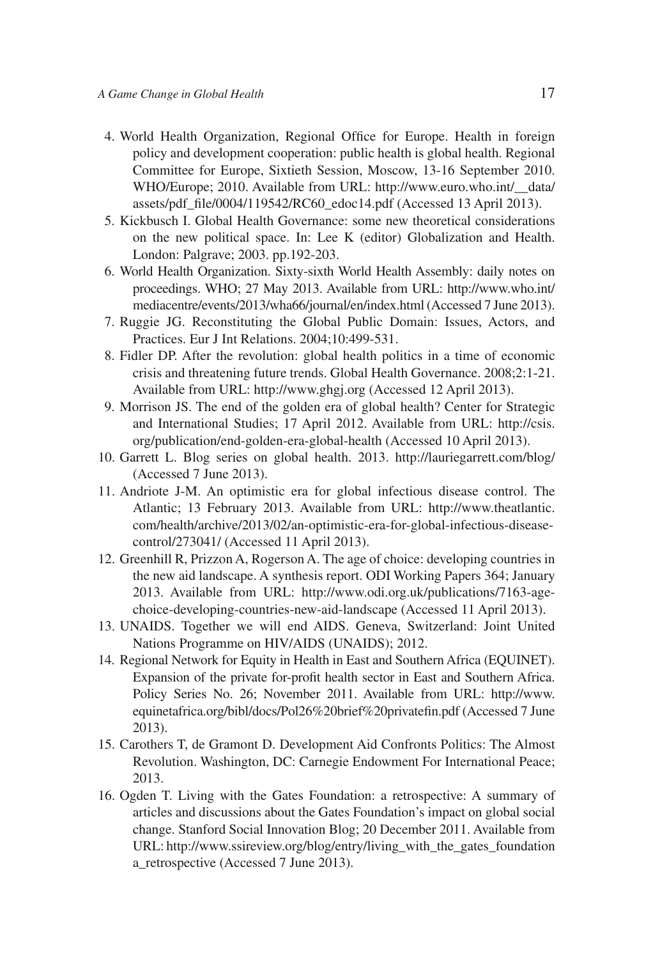- 4. World Health Organization, Regional Office for Europe. Health in foreign policy and development cooperation: public health is global health. Regional Committee for Europe, Sixtieth Session, Moscow, 13-16 September 2010. WHO/Europe; 2010. Available from URL: http://www.euro.who.int/\_\_data/ assets/pdf\_file/0004/119542/RC60\_edoc14.pdf (Accessed 13 April 2013).
- 5. Kickbusch I. Global Health Governance: some new theoretical considerations on the new political space. In: Lee K (editor) Globalization and Health. London: Palgrave; 2003. pp.192-203.
- 6. World Health Organization. Sixty-sixth World Health Assembly: daily notes on proceedings. WHO; 27 May 2013. Available from URL: http://www.who.int/ mediacentre/events/2013/wha66/journal/en/index.html (Accessed 7 June 2013).
- 7. Ruggie JG. Reconstituting the Global Public Domain: Issues, Actors, and Practices. Eur J Int Relations. 2004;10:499-531.
- 8. Fidler DP. After the revolution: global health politics in a time of economic crisis and threatening future trends. Global Health Governance. 2008;2:1-21. Available from URL: http://www.ghgj.org (Accessed 12 April 2013).
- 9. Morrison JS. The end of the golden era of global health? Center for Strategic and International Studies; 17 April 2012. Available from URL: http://csis. org/publication/end-golden-era-global-health (Accessed 10 April 2013).
- 10. Garrett L. Blog series on global health. 2013. http://lauriegarrett.com/blog/ (Accessed 7 June 2013).
- 11. Andriote J-M. An optimistic era for global infectious disease control. The Atlantic; 13 February 2013. Available from URL: http://www.theatlantic. com/health/archive/2013/02/an-optimistic-era-for-global-infectious-diseasecontrol/273041/ (Accessed 11 April 2013).
- 12. Greenhill R, Prizzon A, Rogerson A. The age of choice: developing countries in the new aid landscape. A synthesis report. ODI Working Papers 364; January 2013. Available from URL: http://www.odi.org.uk/publications/7163-agechoice-developing-countries-new-aid-landscape (Accessed 11 April 2013).
- 13. UNAIDS. Together we will end AIDS. Geneva, Switzerland: Joint United Nations Programme on HIV/AIDS (UNAIDS); 2012.
- 14. Regional Network for Equity in Health in East and Southern Africa (EQUINET). Expansion of the private for-profit health sector in East and Southern Africa. Policy Series No. 26; November 2011. Available from URL: http://www. equinetafrica.org/bibl/docs/Pol26%20brief%20privatefin.pdf (Accessed 7 June 2013).
- 15. Carothers T, de Gramont D. Development Aid Confronts Politics: The Almost Revolution. Washington, DC: Carnegie Endowment For International Peace; 2013.
- 16. Ogden T. Living with the Gates Foundation: a retrospective: A summary of articles and discussions about the Gates Foundation's impact on global social change. Stanford Social Innovation Blog; 20 December 2011. Available from URL: http://www.ssireview.org/blog/entry/living\_with\_the\_gates\_foundation a\_retrospective (Accessed 7 June 2013).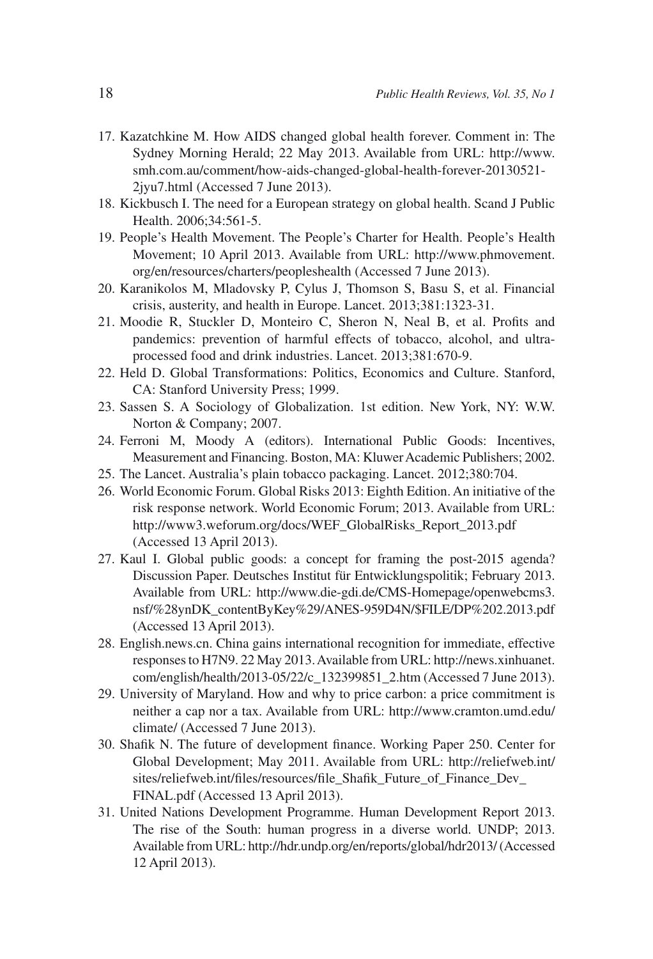- 17. Kazatchkine M. How AIDS changed global health forever. Comment in: The Sydney Morning Herald; 22 May 2013. Available from URL: http://www. smh.com.au/comment/how-aids-changed-global-health-forever-20130521- 2jyu7.html (Accessed 7 June 2013).
- 18. Kickbusch I. The need for a European strategy on global health. Scand J Public Health. 2006;34:561-5.
- 19. People's Health Movement. The People's Charter for Health. People's Health Movement; 10 April 2013. Available from URL: http://www.phmovement. org/en/resources/charters/peopleshealth (Accessed 7 June 2013).
- 20. Karanikolos M, Mladovsky P, Cylus J, Thomson S, Basu S, et al. Financial crisis, austerity, and health in Europe. Lancet. 2013;381:1323-31.
- 21. Moodie R, Stuckler D, Monteiro C, Sheron N, Neal B, et al. Profits and pandemics: prevention of harmful effects of tobacco, alcohol, and ultraprocessed food and drink industries. Lancet. 2013;381:670-9.
- 22. Held D. Global Transformations: Politics, Economics and Culture. Stanford, CA: Stanford University Press; 1999.
- 23. Sassen S. A Sociology of Globalization. 1st edition. New York, NY: W.W. Norton & Company; 2007.
- 24. Ferroni M, Moody A (editors). International Public Goods: Incentives, Measurement and Financing. Boston, MA: Kluwer Academic Publishers; 2002.
- 25. The Lancet. Australia's plain tobacco packaging. Lancet. 2012;380:704.
- 26. World Economic Forum. Global Risks 2013: Eighth Edition. An initiative of the risk response network. World Economic Forum; 2013. Available from URL: http://www3.weforum.org/docs/WEF\_GlobalRisks\_Report\_2013.pdf (Accessed 13 April 2013).
- 27. Kaul I. Global public goods: a concept for framing the post-2015 agenda? Discussion Paper. Deutsches Institut für Entwicklungspolitik; February 2013. Available from URL: http://www.die-gdi.de/CMS-Homepage/openwebcms3. nsf/%28ynDK\_contentByKey%29/ANES-959D4N/\$FILE/DP%202.2013.pdf (Accessed 13 April 2013).
- 28. English.news.cn. China gains international recognition for immediate, effective responses to H7N9. 22 May 2013. Available from URL: http://news.xinhuanet. com/english/health/2013-05/22/c\_132399851\_2.htm (Accessed 7 June 2013).
- 29. University of Maryland. How and why to price carbon: a price commitment is neither a cap nor a tax. Available from URL: http://www.cramton.umd.edu/ climate/ (Accessed 7 June 2013).
- 30. Shafik N. The future of development finance. Working Paper 250. Center for Global Development; May 2011. Available from URL: http://reliefweb.int/ sites/reliefweb.int/files/resources/file\_Shafik\_Future\_of\_Finance\_Dev FINAL.pdf (Accessed 13 April 2013).
- 31. United Nations Development Programme. Human Development Report 2013. The rise of the South: human progress in a diverse world. UNDP; 2013. Available from URL: http://hdr.undp.org/en/reports/global/hdr2013/ (Accessed 12 April 2013).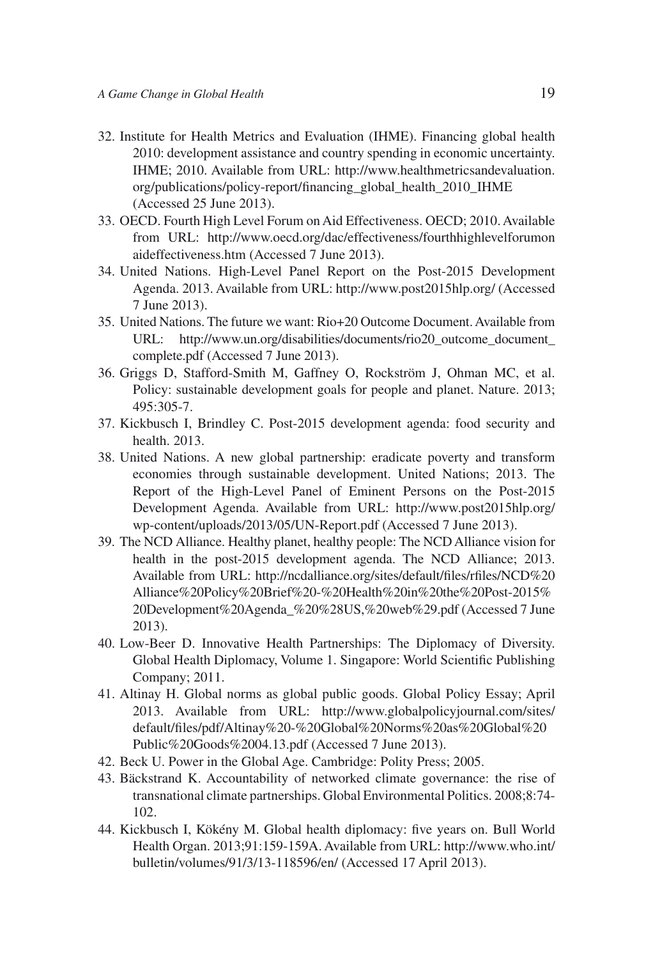- 32. Institute for Health Metrics and Evaluation (IHME). Financing global health 2010: development assistance and country spending in economic uncertainty. IHME; 2010. Available from URL: http://www.healthmetricsandevaluation. org/publications/policy-report/financing\_global\_health\_2010\_IHME (Accessed 25 June 2013).
- 33. OECD. Fourth High Level Forum on Aid Effectiveness. OECD; 2010. Available from URL: http://www.oecd.org/dac/effectiveness/fourthhighlevelforumon aideffectiveness.htm (Accessed 7 June 2013).
- 34. United Nations. High-Level Panel Report on the Post-2015 Development Agenda. 2013. Available from URL: http://www.post2015hlp.org/ (Accessed 7 June 2013).
- 35. United Nations. The future we want: Rio+20 Outcome Document. Available from URL: http://www.un.org/disabilities/documents/rio20\_outcome\_document\_ complete.pdf (Accessed 7 June 2013).
- 36. Griggs D, Stafford-Smith M, Gaffney O, Rockström J, Ohman MC, et al. Policy: sustainable development goals for people and planet. Nature. 2013; 495:305-7.
- 37. Kickbusch I, Brindley C. Post-2015 development agenda: food security and health. 2013.
- 38. United Nations. A new global partnership: eradicate poverty and transform economies through sustainable development. United Nations; 2013. The Report of the High-Level Panel of Eminent Persons on the Post-2015 Development Agenda. Available from URL: http://www.post2015hlp.org/ wp-content/uploads/2013/05/UN-Report.pdf (Accessed 7 June 2013).
- 39. The NCD Alliance. Healthy planet, healthy people: The NCD Alliance vision for health in the post-2015 development agenda. The NCD Alliance; 2013. Available from URL: http://ncdalliance.org/sites/default/files/rfiles/NCD%20 Alliance%20Policy%20Brief%20-%20Health%20in%20the%20Post-2015% 20Development%20Agenda\_%20%28US,%20web%29.pdf (Accessed 7 June 2013).
- 40. Low-Beer D. Innovative Health Partnerships: The Diplomacy of Diversity. Global Health Diplomacy, Volume 1. Singapore: World Scientific Publishing Company; 2011.
- 41. Altinay H. Global norms as global public goods. Global Policy Essay; April 2013. Available from URL: http://www.globalpolicyjournal.com/sites/ default/files/pdf/Altinay%20-%20Global%20Norms%20as%20Global%20 Public%20Goods%2004.13.pdf (Accessed 7 June 2013).
- 42. Beck U. Power in the Global Age. Cambridge: Polity Press; 2005.
- 43. Bäckstrand K. Accountability of networked climate governance: the rise of transnational climate partnerships. Global Environmental Politics. 2008;8:74- 102.
- 44. Kickbusch I, Kökény M. Global health diplomacy: five years on. Bull World Health Organ. 2013;91:159-159A. Available from URL: http://www.who.int/ bulletin/volumes/91/3/13-118596/en/ (Accessed 17 April 2013).